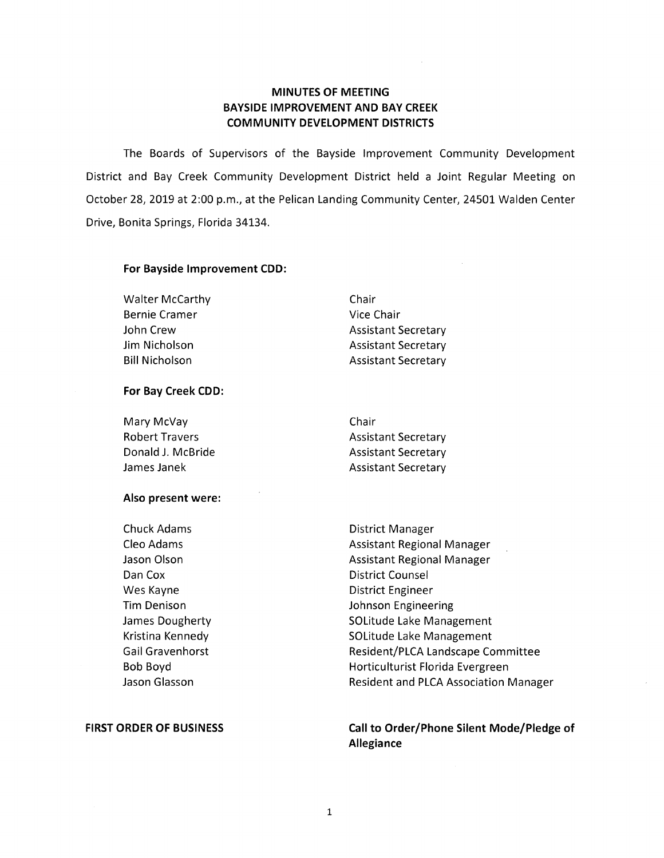# **MINUTES OF MEETING BAYSIDE IMPROVEMENT AND BAY CREEK COMMUNITY DEVELOPMENT DISTRICTS**

The Boards of Supervisors of the Bayside Improvement Community Development District and Bay Creek Community Development District held a Joint Regular Meeting on October 28, 2019 at 2:00 p.m., at the Pelican Landing Community Center, 24501 Walden Center Drive, Bonita Springs, Florida 34134.

## **For Bayside Improvement COD:**

Walter McCarthy Bernie Cramer John Crew Jim Nicholson Bill Nicholson

Chair Vice Chair Assistant Secretary Assistant Secretary Assistant Secretary

## **For Bay Creek COD:**

| Mary McVay            | Chair                      |
|-----------------------|----------------------------|
| <b>Robert Travers</b> | <b>Assistant Secretary</b> |
| Donald J. McBride     | <b>Assistant Secretary</b> |
| James Janek           | <b>Assistant Secretary</b> |

### **Also present were:**

Chuck Adams Cleo Adams Jason Olson Dan Cox Wes Kayne Tim Denison James Dougherty Kristina Kennedy Gail Gravenhorst Bob Boyd Jason Glasson

## **FIRST ORDER OF BUSINESS**

District Manager Assistant Regional Manager Assistant Regional Manager District Counsel District Engineer Johnson Engineering SOLitude Lake Management SOLitude Lake Management Resident/PLCA Landscape Committee Horticulturist Florida Evergreen Resident and PLCA Association Manager

**Call to Order/Phone Silent Mode/Pledge of Allegiance**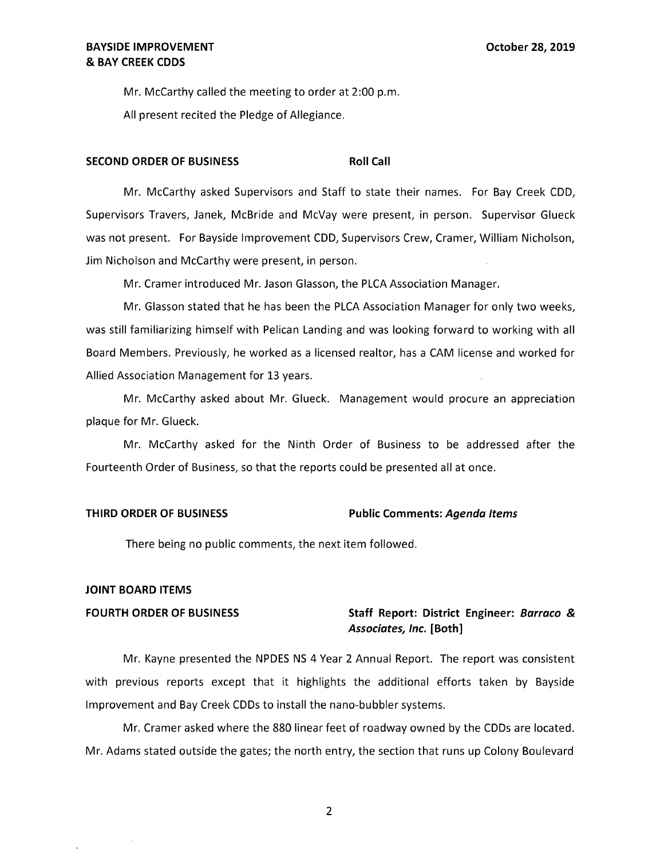Mr. McCarthy called the meeting to order at 2:00 p.m.

All present recited the Pledge of Allegiance.

### **SECOND ORDER OF BUSINESS Roll Call**

Mr. McCarthy asked Supervisors and Staff to state their names. For Bay Creek CDD, Supervisors Travers, Janek, McBride and McVay were present, in person. Supervisor Glueck was not present. For Bayside Improvement CDD, Supervisors Crew, Cramer, William Nicholson, Jim Nicholson and McCarthy were present, in person.

Mr. Cramer introduced Mr. Jason Glasson, the PLCA Association Manager.

Mr. Glasson stated that he has been the PLCA Association Manager for only two weeks, was still familiarizing himself with Pelican Landing and was looking forward to working with all Board Members. Previously, he worked as a licensed realtor, has a CAM license and worked for Allied Association Management for 13 years.

Mr. McCarthy asked about Mr. Glueck. Management would procure an appreciation plaque for Mr. Glueck.

Mr. McCarthy asked for the Ninth Order of Business to be addressed after the Fourteenth Order of Business, so that the reports could be presented all at once.

### **THIRD ORDER OF BUSINESS Public Comments: Agenda Items**

There being no public comments, the next item followed.

### **JOINT BOARD ITEMS**

## **FOURTH ORDER OF BUSINESS Staff Report: District Engineer: Barraco** & **Associates, Inc. [Both]**

Mr. Kayne presented the NPDES NS 4 Year 2 Annual Report. The report was consistent with previous reports except that it highlights the additional efforts taken by Bayside Improvement and Bay Creek CDDs to install the nano-bubbler systems.

Mr. Cramer asked where the 880 linear feet of roadway owned by the CDDs are located. Mr. Adams stated outside the gates; the north entry, the section that runs up Colony Boulevard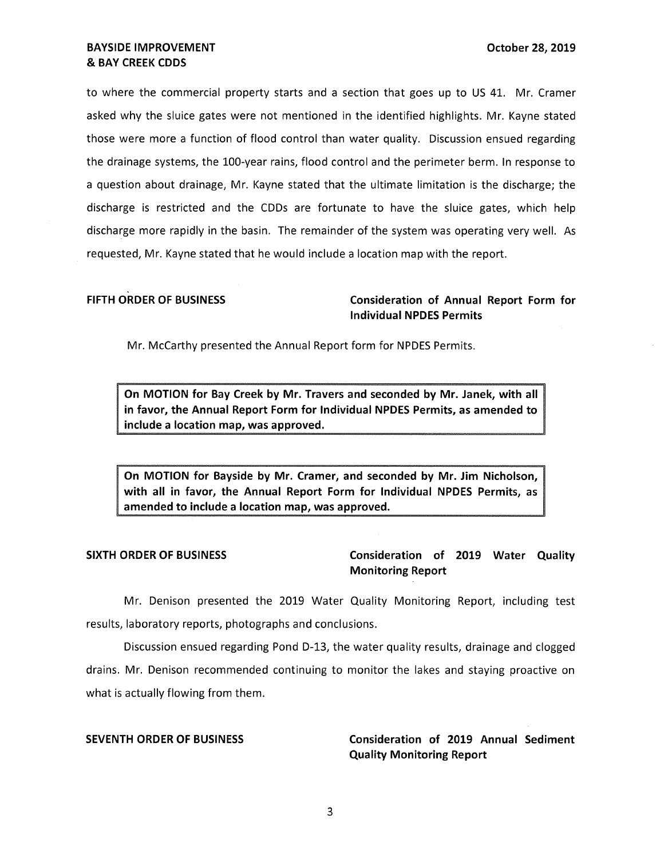to where the commercial property starts and a section that goes up to US 41. Mr. Cramer asked why the sluice gates were not mentioned in the identified highlights. Mr. Kayne stated those were more a function of flood control than water quality. Discussion ensued regarding the drainage systems, the 100-year rains, flood control and the perimeter berm. In response to a question about drainage, Mr. Kayne stated that the ultimate limitation is the discharge; the discharge is restricted and the CDDs are fortunate to have the sluice gates, which help discharge more rapidly in the basin. The remainder of the system was operating very well. As requested, Mr. Kayne stated that he would include a location map with the report.

**FIFTH ORDER OF BUSINESS Consideration of Annual Report Form for Individual NPDES Permits** 

Mr. McCarthy presented the Annual Report form for NPDES Permits.

**On MOTION for Bay Creek by Mr. Travers and seconded by Mr. Janek, with all in favor, the Annual Report Form for Individual NPDES Permits, as amended to include a location map, was approved.** 

**On MOTION for Bayside by Mr. Cramer, and seconded by Mr. Jim Nicholson, with all in favor, the Annual Report Form for Individual NPDES Permits, as amended to include a location map, was approved.** 

**SIXTH ORDER OF BUSINESS Consideration of 2019 Water Quality Monitoring Report** 

Mr. Denison presented the 2019 Water Quality Monitoring Report, including test results, laboratory reports, photographs and conclusions.

Discussion ensued regarding Pond D-13, the water quality results, drainage and clogged drains. Mr. Denison recommended continuing to monitor the lakes and staying proactive on what is actually flowing from them.

**SEVENTH ORDER OF BUSINESS Consideration of 2019 Annual Sediment Quality Monitoring Report**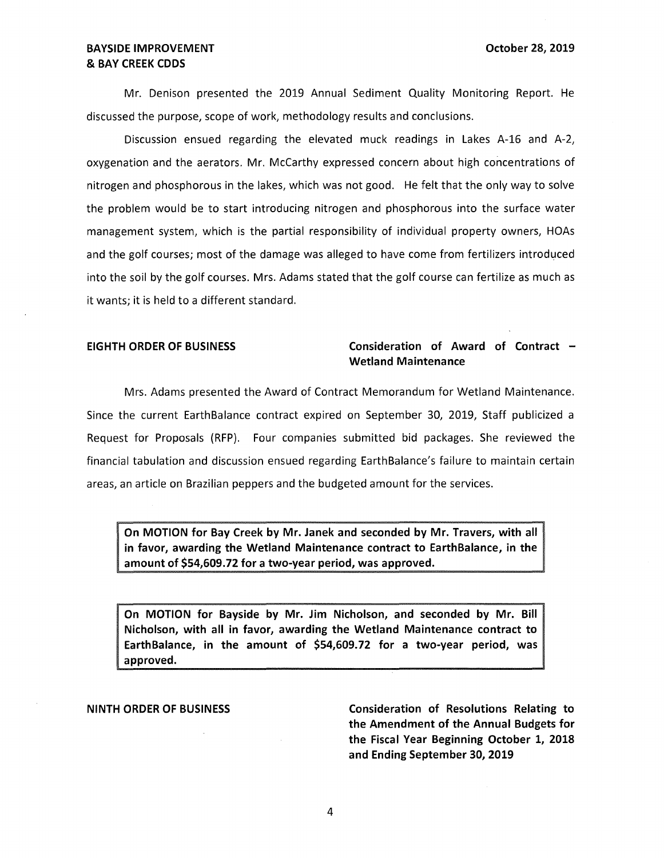# **BAYSIDE IMPROVEMENT CONSUMING THE OCTOBER 1999 IN A POST OCTOBER 2019** & **BAY CREEK CDDS**

Mr. Denison presented the 2019 Annual Sediment Quality Monitoring Report. He discussed the purpose, scope of work, methodology results and conclusions.

Discussion ensued regarding the elevated muck readings in Lakes A-16 and A-2, oxygenation and the aerators. Mr. McCarthy expressed concern about high concentrations of nitrogen and phosphorous in the lakes, which was not good. He felt that the only way to solve the problem would be to start introducing nitrogen and phosphorous into the surface water management system, which is the partial responsibility of individual property owners, HOAs and the golf courses; most of the damage was alleged to have come from fertilizers introduced into the soil by the golf courses. Mrs. Adams stated that the golf course can fertilize as much as it wants; it is held to a different standard.

## **EIGHTH ORDER OF BUSINESS Consideration of Award of Contract** - **Wetland Maintenance**

Mrs. Adams presented the Award of Contract Memorandum for Wetland Maintenance. Since the current EarthBalance contract expired on September 30, 2019, Staff publicized a Request for Proposals (RFP). Four companies submitted bid packages. She reviewed the financial tabulation and discussion ensued regarding EarthBalance's failure to maintain certain areas, an article on Brazilian peppers and the budgeted amount for the services.

**On MOTION for Bay Creek by Mr. Janek and seconded by Mr. Travers, with all in favor, awarding the Wetland Maintenance contract to EarthBalance, in the amount of \$[54,609.72](https://54,609.72) for a two-year period, was approved.** 

**On MOTION for Bayside by Mr. Jim Nicholson, and seconded by Mr. Bill Nicholson, with all in favor, awarding the Wetland Maintenance contract to EarthBalance, in the amount of \$[54,609.72](https://54,609.72) for a two-year period, was approved.** 

**NINTH ORDER OF BUSINESS Consideration of Resolutions Relating to the Amendment of the Annual Budgets for the Fiscal Year Beginning October 1, 2018 and Ending September 30, 2019**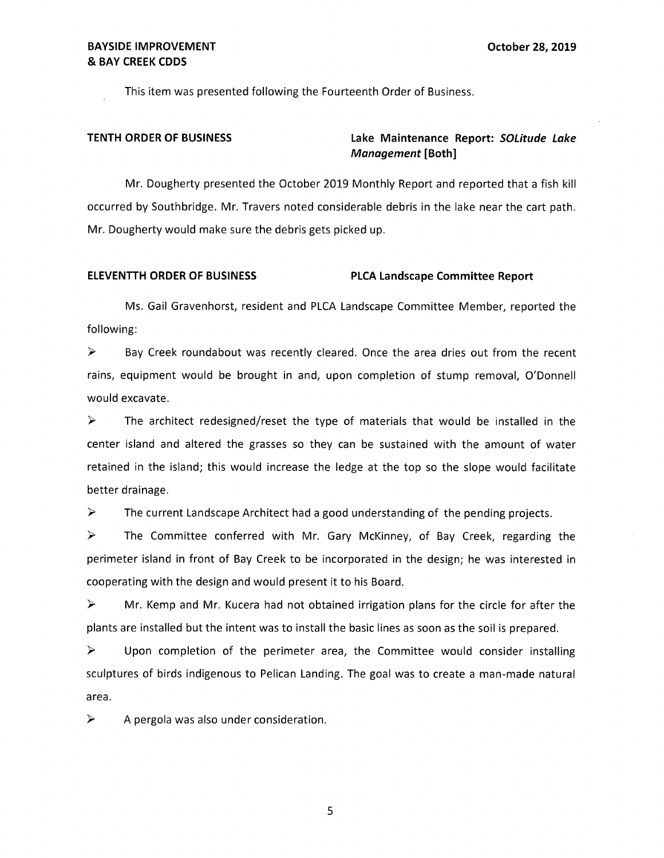This item was presented following the Fourteenth Order of Business.

# **TENTH ORDER OF BUSINESS Lake Maintenance Report: SOLitude Lake Management [Both]**

Mr. Dougherty presented the October 2019 Monthly Report and reported that a fish kill occurred by Southbridge. Mr. Travers noted considerable debris in the lake near the cart path. Mr. Dougherty would make sure the debris gets picked up.

### **ELEVENTTH ORDER OF BUSINESS PLCA Landscape Committee Report**

Ms. Gail Gravenhorst, resident and PLCA Landscape Committee Member, reported the following:

► Bay Creek roundabout was recently cleared. Once the area dries out from the recent rains, equipment would be brought in and, upon completion of stump removal, O'Donnell would excavate.

 $\triangleright$  The architect redesigned/reset the type of materials that would be installed in the center island and altered the grasses so they can be sustained with the amount of water retained in the island; this would increase the ledge at the top so the slope would facilitate better drainage.

 $\triangleright$  The current Landscape Architect had a good understanding of the pending projects.

► The Committee conferred with Mr. Gary McKinney, of Bay Creek, regarding the perimeter island in front of Bay Creek to be incorporated in the design; he was interested in cooperating with the design and would present it to his Board.

 $\triangleright$  Mr. Kemp and Mr. Kucera had not obtained irrigation plans for the circle for after the plants are installed but the intent was to install the basic lines as soon as the soil is prepared.

► Upon completion of the perimeter area, the Committee would consider installing sculptures of birds indigenous to Pelican Landing. The goal was to create a man-made natural area.

 $\triangleright$  A pergola was also under consideration.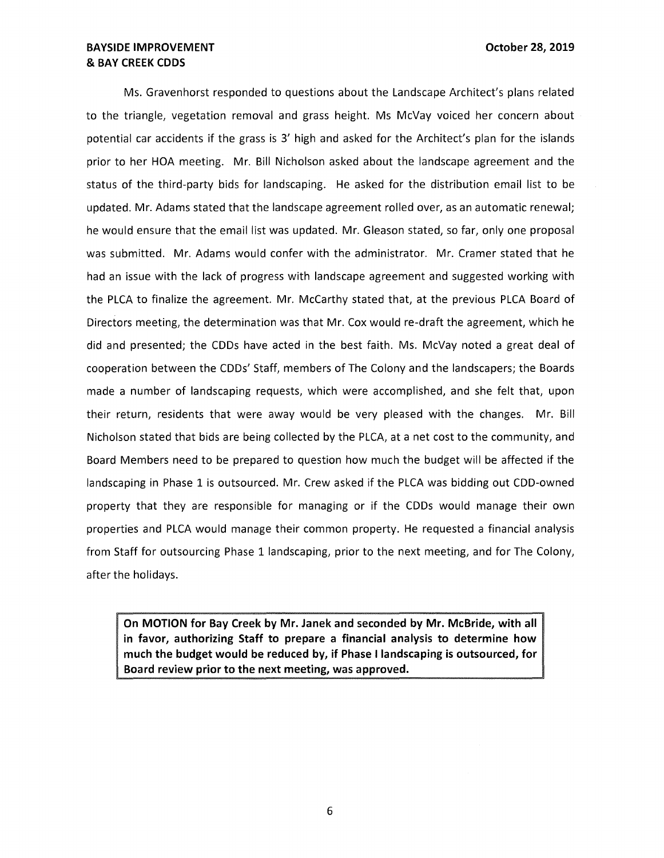Ms. Gravenhorst responded to questions about the Landscape Architect's plans related to the triangle, vegetation removal and grass height. Ms McVay voiced her concern about potential car accidents if the grass is 3' high and asked for the Architect's plan for the islands prior to her HOA meeting. Mr. Bill Nicholson asked about the landscape agreement and the status of the third-party bids for landscaping. He asked for the distribution email list to be updated. Mr. Adams stated that the landscape agreement rolled over, as an automatic renewal; he would ensure that the email list was updated. Mr. Gleason stated, so far, only one proposal was submitted. Mr. Adams would confer with the administrator. Mr. Cramer stated that he had an issue with the lack of progress with landscape agreement and suggested working with the PLCA to finalize the agreement. Mr. McCarthy stated that, at the previous PLCA Board of Directors meeting, the determination was that Mr. Cox would re-draft the agreement, which he did and presented; the CDDs have acted in the best faith. Ms. McVay noted a great deal of cooperation between the CDDs' Staff, members of The Colony and the landscapers; the Boards made a number of landscaping requests, which were accomplished, and she felt that, upon their return, residents that were away would be very pleased with the changes. Mr. Bill Nicholson stated that bids are being collected by the PLCA, at a net cost to the community, and Board Members need to be prepared to question how much the budget will be affected if the landscaping in Phase 1 is outsourced. Mr. Crew asked if the PLCA was bidding out COD-owned property that they are responsible for managing or if the CDDs would manage their own properties and PLCA would manage their common property. He requested a financial analysis from Staff for outsourcing Phase 1 landscaping, prior to the next meeting, and for The Colony, after the holidays.

**On MOTION for Bay Creek by Mr. Janek and seconded by Mr. McBride, with all in favor, authorizing Staff to prepare a financial analysis to determine how much the budget would be reduced by, if Phase I landscaping is outsourced, for Board review prior to the next meeting, was approved.**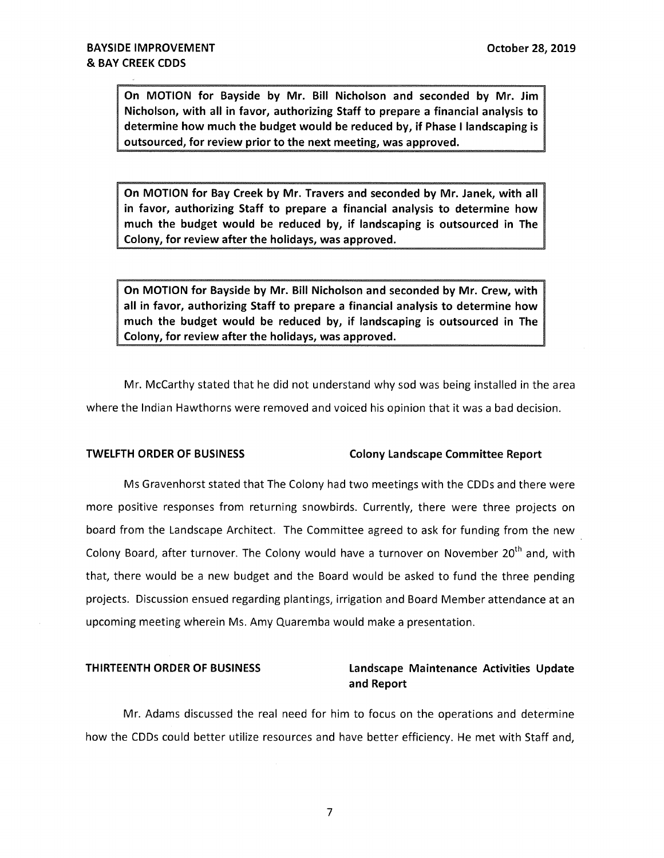**On MOTION for Bayside by Mr. Bill Nicholson and seconded by Mr. Jim Nicholson, with all in favor, authorizing Staff to prepare a financial analysis to determine how much the budget would be reduced by, if Phase** I **landscaping is outsourced, for review prior to the next meeting, was approved.** 

**On MOTION for Bay Creek by Mr. Travers and seconded by Mr. Janek, with all in favor, authorizing Staff to prepare a financial analysis to determine how much the budget would be reduced by, if landscaping is outsourced in The Colony, for review after the holidays, was approved.** 

**On MOTION for Bayside by Mr. Bill Nicholson and seconded by Mr. Crew, with all in favor, authorizing Staff to prepare a financial analysis to determine how much the budget would be reduced by, if landscaping is outsourced in The Colony, for review after the holidays, was approved.** 

Mr. McCarthy stated that he did not understand why sod was being installed in the area where the Indian Hawthorns were removed and voiced his opinion that it was a bad decision.

# **TWELFTH ORDER OF BUSINESS Colony Landscape Committee Report**

Ms Gravenhorst stated that The Colony had two meetings with the CDDs and there were more positive responses from returning snowbirds. Currently, there were three projects on board from the Landscape Architect. The Committee agreed to ask for funding from the new Colony Board, after turnover. The Colony would have a turnover on November 20<sup>th</sup> and, with that, there would be a new budget and the Board would be asked to fund the three pending projects. Discussion ensued regarding plantings, irrigation and Board Member attendance at an upcoming meeting wherein Ms. Amy Quaremba would make a presentation.

# **THIRTEENTH ORDER OF BUSINESS Landscape Maintenance Activities Update and Report**

Mr. Adams discussed the real need for him to focus on the operations and determine how the CDDs could better utilize resources and have better efficiency. He met with Staff and,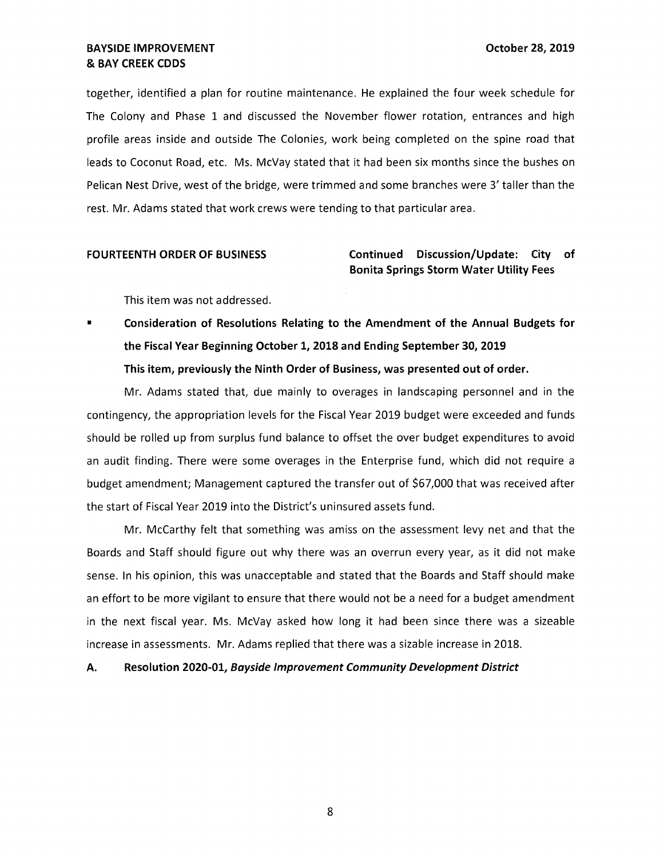together, identified a plan for routine maintenance. He explained the four week schedule for The Colony and Phase 1 and discussed the November flower rotation, entrances and high profile areas inside and outside The Colonies, work being completed on the spine road that leads to Coconut Road, etc. Ms. McVay stated that it had been six months since the bushes on Pelican Nest Drive, west of the bridge, were trimmed and some branches were 3' taller than the rest. Mr. Adams stated that work crews were tending to that particular area.

# **FOURTEENTH ORDER OF BUSINESS Continued Discussion/Update: City of Bonita Springs Storm Water Utility Fees**

This item was not addressed.

Consideration of Resolutions Relating to the Amendment of the Annual Budgets for **the Fiscal Year Beginning October 1, 2018 and Ending September 30, 2019 This item, previously the Ninth Order of Business, was presented out of order.** 

Mr. Adams stated that, due mainly to overages in landscaping personnel and in the contingency, the appropriation levels for the Fiscal Year 2019 budget were exceeded and funds should be rolled up from surplus fund balance to offset the over budget expenditures to avoid an audit finding. There were some overages in the Enterprise fund, which did not require a budget amendment; Management captured the transfer out of \$67,000 that was received after the start of Fiscal Year 2019 into the District's uninsured assets fund.

Mr. McCarthy felt that something was amiss on the assessment levy net and that the Boards and Staff should figure out why there was an overrun every year, as it did not make sense. In his opinion, this was unacceptable and stated that the Boards and Staff should make an effort to be more vigilant to ensure that there would not be a need for a budget amendment in the next fiscal year. Ms. McVay asked how long it had been since there was a sizeable increase in assessments. Mr. Adams replied that there was a sizable increase in 2018.

**A. Resolution 2020-01, Bayside Improvement Community Development District**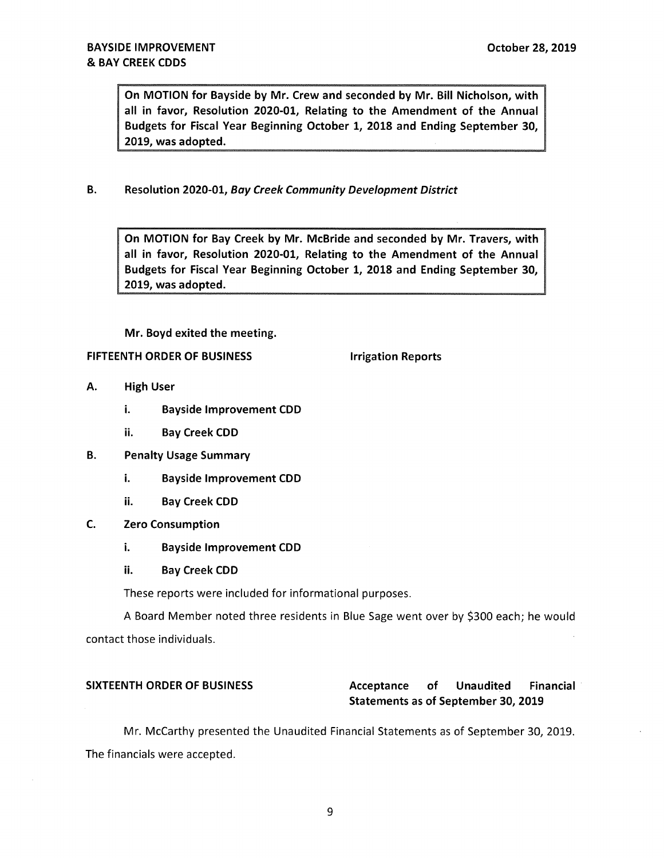On MOTION for Bayside by Mr. Crew and seconded by Mr. Bill Nicholson, with all in favor, Resolution 2020-01, Relating to the Amendment of the Annual Budgets for Fiscal Year Beginning October 1, 2018 and Ending September 30, 2019, was adopted.

B. Resolution 2020-01, Bay Creek Community Development District

On MOTION for Bay Creek by Mr. McBride and seconded by Mr. Travers, with all in favor, Resolution 2020-01, Relating to the Amendment of the Annual Budgets for Fiscal Year Beginning October 1, 2018 and Ending September 30, 2019, was adopted.

Mr. Boyd exited the meeting.

## FIFTEENTH ORDER OF BUSINESS **IFILITEENTH** ORDER OF BUSINESS

- A. High User
	- i. Bayside Improvement COD
	- ii. Bay Creek CDD
- B. Penalty Usage Summary
	- i. Bayside Improvement CDD
	- ii. Bay Creek COD
- C. Zero Consumption
	- i. Bayside Improvement CDD
	- ii. Bay Creek CDD

These reports were included for informational purposes.

A Board Member noted three residents in Blue Sage went over by \$300 each; he would contact those individuals.

# SIXTEENTH ORDER OF BUSINESS Acceptance of Unaudited Financial Statements as of September 30, 2019

Mr. McCarthy presented the Unaudited Financial Statements as of September 30, 2019. The financials were accepted.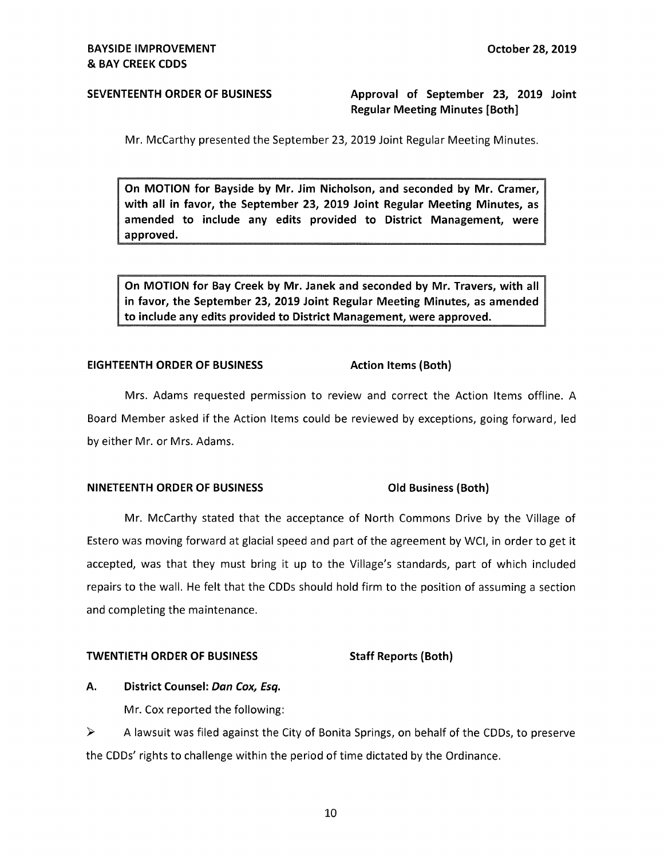# **SEVENTEENTH ORDER OF BUSINESS Approval of September 23, 2019 Joint Regular Meeting Minutes [Both]**

Mr. McCarthy presented the September 23, 2019 Joint Regular Meeting Minutes.

**On MOTION for Bayside by Mr. Jim Nicholson, and seconded by Mr. Cramer, with all in favor, the September 23, 2019 Joint Regular Meeting Minutes, as amended to include any edits provided to District Management, were approved.** 

**On MOTION for Bay Creek by Mr. Janek and seconded by Mr. Travers, with all in favor, the September 23, 2019 Joint Regular Meeting Minutes, as amended to include any edits provided to District Management, were approved.** 

### **EIGHTEENTH ORDER OF BUSINESS** Action Items (Both)

Mrs. Adams requested permission to review and correct the Action Items offline. A Board Member asked if the Action Items could be reviewed by exceptions, going forward, led by either Mr. or Mrs. Adams.

### **NINETEENTH ORDER OF BUSINESS Old Business (Both)**

Mr. McCarthy stated that the acceptance of North Commons Drive by the Village of Estero was moving forward at glacial speed and part of the agreement by WCI, in order to get it accepted, was that they must bring it up to the Village's standards, part of which included repairs to the wall. He felt that the CDDs should hold firm to the position of assuming a section and completing the maintenance.

### **TWENTIETH ORDER OF BUSINESS Staff Reports (Both)**

### **A. District Counsel: Dan Cox, Esq.**

Mr. Cox reported the following:

► A lawsuit was filed against the City of Bonita Springs, on behalf of the CDDs, to preserve the CDDs' rights to challenge within the period of time dictated by the Ordinance.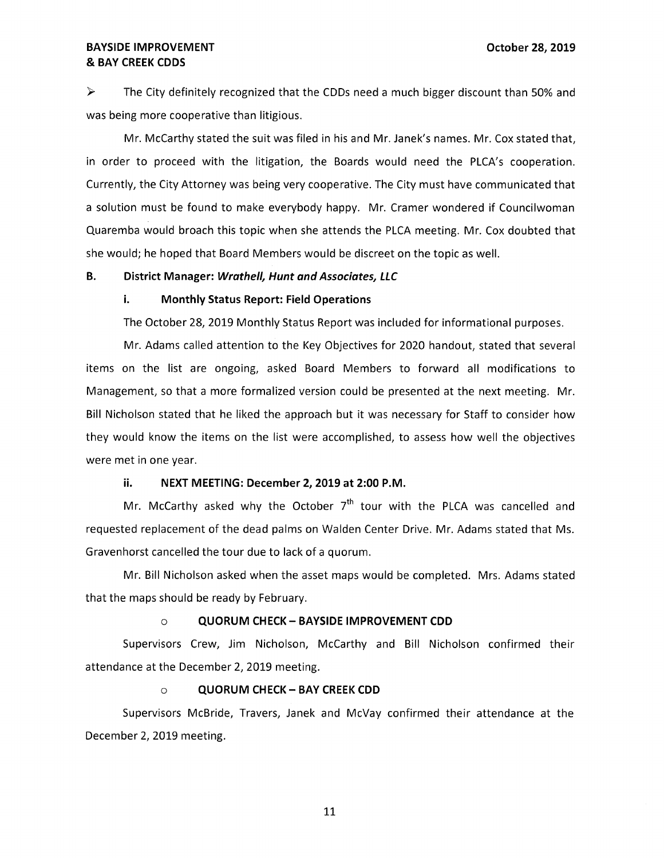# **BAYSIDE IMPROVEMENT CONSUMERT CONSUMING A SET OCTOBER 28, 2019** & **BAY CREEK CODS**

► The City definitely recognized that the CDDs need a much bigger discount than 50% and was being more cooperative than litigious.

Mr. McCarthy stated the suit was filed in his and Mr. Janek's names. Mr. Cox stated that, in order to proceed with the litigation, the Boards would need the PLCA's cooperation. Currently, the City Attorney was being very cooperative. The City must have communicated that a solution must be found to make everybody happy. Mr. Cramer wondered if Councilwoman Quaremba would broach this topic when she attends the PLCA meeting. Mr. Cox doubted that she would; he hoped that Board Members would be discreet on the topic as well.

## **B. District Manager: Wrathell, Hunt and Associates, LLC**

### **i. Monthly Status Report: Field Operations**

The October 28, 2019 Monthly Status Report was included for informational purposes.

Mr. Adams called attention to the Key Objectives for 2020 handout, stated that several items on the list are ongoing, asked Board Members to forward all modifications to Management, so that a more formalized version could be presented at the next meeting. Mr. Bill Nicholson stated that he liked the approach but it was necessary for Staff to consider how they would know the items on the list were accomplished, to assess how well the objectives were met in one year.

# **ii. NEXT MEETING: December 2, 2019 at 2:00 P.M.**

Mr. McCarthy asked why the October  $7<sup>th</sup>$  tour with the PLCA was cancelled and requested replacement of the dead palms on Walden Center Drive. Mr. Adams stated that Ms. Gravenhorst cancelled the tour due to lack of a quorum.

Mr. Bill Nicholson asked when the asset maps would be completed. Mrs. Adams stated that the maps should be ready by February.

### o **QUORUM CHECK- BAYSIDE IMPROVEMENT COD**

Supervisors Crew, Jim Nicholson, McCarthy and Bill Nicholson confirmed their attendance at the December 2, 2019 meeting.

### o **QUORUM CHECK - BAY CREEK COD**

Supervisors McBride, Travers, Janek and McVay confirmed their attendance at the December 2, 2019 meeting.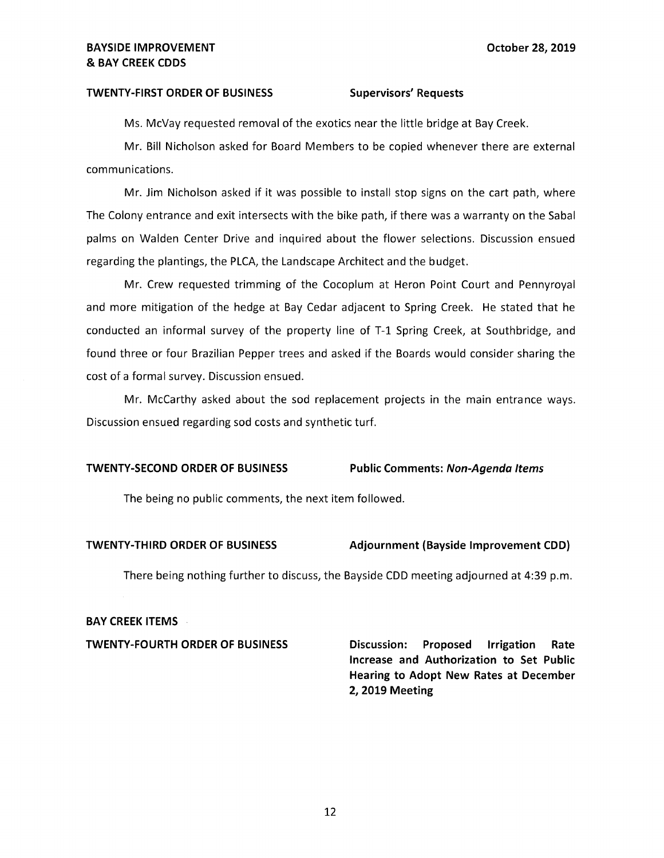### TWENTY-FIRST ORDER OF BUSINESS Supervisors' Requests

Ms. McVay requested removal of the exotics near the little bridge at Bay Creek.

Mr. Bill Nicholson asked for Board Members to be copied whenever there are external communications.

Mr. Jim Nicholson asked if it was possible to install stop signs on the cart path, where The Colony entrance and exit intersects with the bike path, if there was a warranty on the Sabal palms on Walden Center Drive and inquired about the flower selections. Discussion ensued regarding the plantings, the PLCA, the Landscape Architect and the budget.

Mr. Crew requested trimming of the Cocoplum at Heron Point Court and Pennyroyal and more mitigation of the hedge at Bay Cedar adjacent to Spring Creek. He stated that he conducted an informal survey of the property line of T-1 Spring Creek, at Southbridge, and found three or four Brazilian Pepper trees and asked if the Boards would consider sharing the cost of a formal survey. Discussion ensued.

Mr. McCarthy asked about the sod replacement projects in the main entrance ways. Discussion ensued regarding sod costs and synthetic turf.

### **TWENTY-SECOND ORDER OF BUSINESS Public Comments: Non-Agenda Items**

The being no public comments, the next item followed.

### **TWENTY-THIRD ORDER OF BUSINESS Adjournment (Bayside Improvement CDD)**

There being nothing further to discuss, the Bayside COD meeting adjourned at 4:39 p.m.

### **BAY CREEK ITEMS**

**TWENTY-FOURTH ORDER OF BUSINESS Discussion: Proposed Irrigation Rate Increase and Authorization to Set Public Hearing to Adopt New Rates at December 2, 2019 Meeting**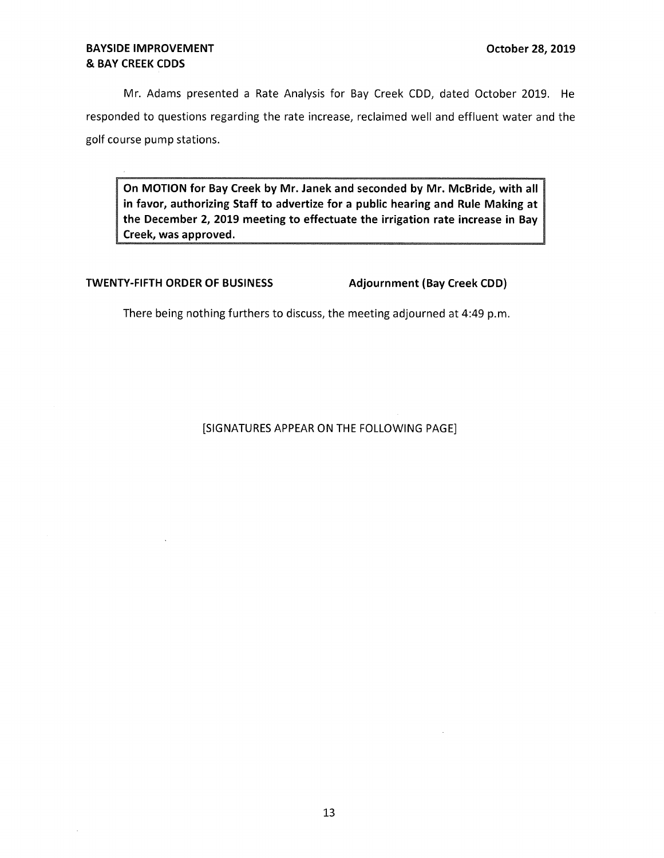# **BAYSIDE IMPROVEMENT CONSUMERT CONSUMING A SET OCTOBER 28, 2019** & **BAY CREEK CODS**

Mr. Adams presented a Rate Analysis for Bay Creek CDD, dated October 2019. He responded to questions regarding the rate increase, reclaimed well and effluent water and the golf course pump stations.

**On MOTION for Bay Creek by Mr. Janek and seconded by Mr. McBride, with all in favor, authorizing Staff to advertize for a public hearing and Rule Making at the December 2, 2019 meeting to effectuate the irrigation rate increase in Bay Creek, was approved.** 

# **TWENTY-FIFTH ORDER OF BUSINESS** Adjournment (Bay Creek CDD)

There being nothing furthers to discuss, the meeting adjourned at 4:49 p.m.

# [SIGNATURES APPEAR ON THE FOLLOWING PAGE]